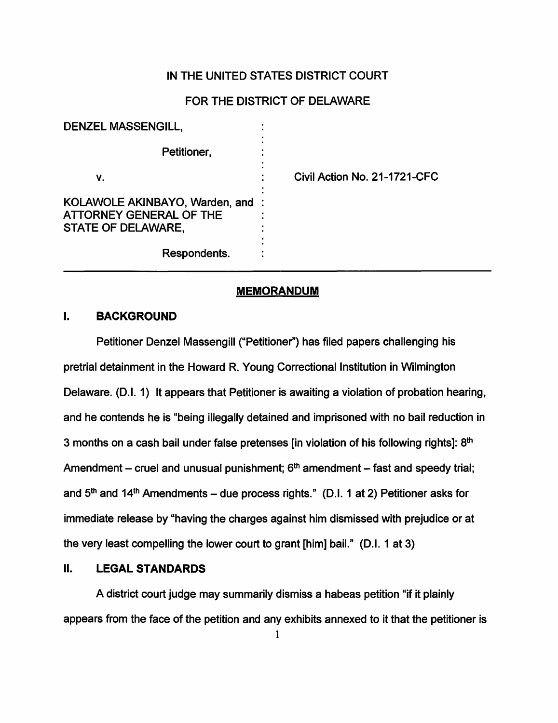### IN THE UNITED STATES DISTRICT COURT

# FOR THE DISTRICT OF DELAWARE

| <b>DENZEL MASSENGILL,</b>                                                              |                              |
|----------------------------------------------------------------------------------------|------------------------------|
| Petitioner,                                                                            |                              |
| ۷.                                                                                     | Civil Action No. 21-1721-CFC |
| KOLAWOLE AKINBAYO, Warden, and<br><b>ATTORNEY GENERAL OF THE</b><br>STATE OF DELAWARE, |                              |
| Respondents.                                                                           |                              |

#### **MEMORANDUM**

# I. **BACKGROUND**

Petitioner Denzel Massengill ("Petitioner") has filed papers challenging his pretrial detainment in the Howard R. Young Correctional Institution in Wilmington Delaware. (D.I. 1) It appears that Petitioner is awaiting a violation of probation hearing, and he contends he is "being illegally detained and imprisoned with no bail reduction in 3 months on a cash bail under false pretenses [in violation of his following rights]: 8<sup>th</sup> Amendment – cruel and unusual punishment;  $6<sup>th</sup>$  amendment – fast and speedy trial; and  $5<sup>th</sup>$  and  $14<sup>th</sup>$  Amendments – due process rights." (D.I. 1 at 2) Petitioner asks for immediate release by "having the charges against him dismissed with prejudice or at the very least compelling the lower court to grant [him] bail." (D.I. 1 at 3)

# II. **LEGAL STANDARDS**

A district court judge may summarily dismiss a habeas petition "if it plainly appears from the face of the petition and any exhibits annexed to it that the petitioner is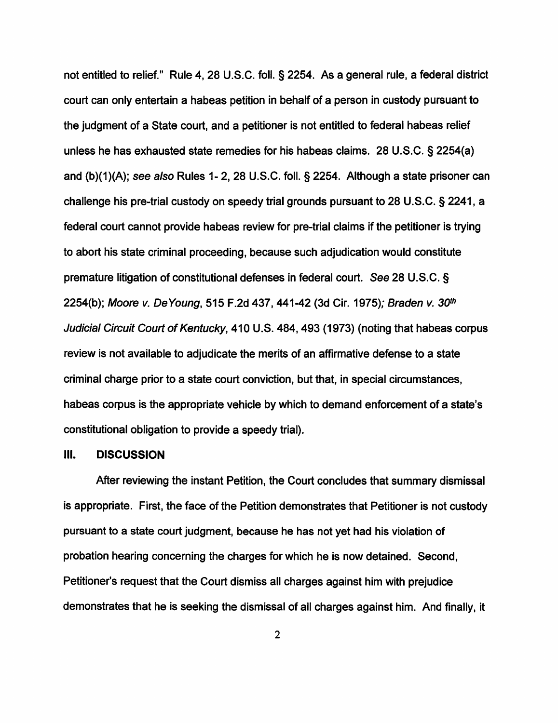not entitled to relief." Rule 4, 28 U.S.C. foll. § 2254. As a general rule, a federal district court can only entertain a habeas petition in behalf of a person in custody pursuant to the judgment of a State court, and a petitioner is not entitled to federal habeas relief unless he has exhausted state remedies for his habeas claims. 28 U.S.C. § 2254(a) and (b)(1)(A); see also Rules 1- 2, 28 U.S.C. foll.§ 2254. Although a state prisoner can challenge his pre-trial custody on speedy trial grounds pursuant to 28 U.S.C. § 2241, a federal court cannot provide habeas review for pre-trial claims if the petitioner is trying to abort his state criminal proceeding, because such adjudication would constitute premature litigation of constitutional defenses in federal court. See 28 U.S.C. § 2254(b); Moore v. De Young, 515 F.2d 437, 441-42 (3d Cir. 1975); Braden v. 30th Judicial Circuit Court of Kentucky, 410 U.S. 484,493 (1973) (noting that habeas corpus review is not available to adjudicate the merits of an affirmative defense to a state criminal charge prior to a state court conviction, but that, in special circumstances, habeas corpus is the appropriate vehicle by which to demand enforcement of a state's constitutional obligation to provide a speedy trial).

#### Ill. **DISCUSSION**

After reviewing the instant Petition, the Court concludes that summary dismissal is appropriate. First, the face of the Petition demonstrates that Petitioner is not custody pursuant to a state court judgment, because he has not yet had his violation of probation hearing concerning the charges for which he is now detained. Second, Petitioner's request that the Court dismiss all charges against him with prejudice demonstrates that he is seeking the dismissal of all charges against him. And finally, it

2